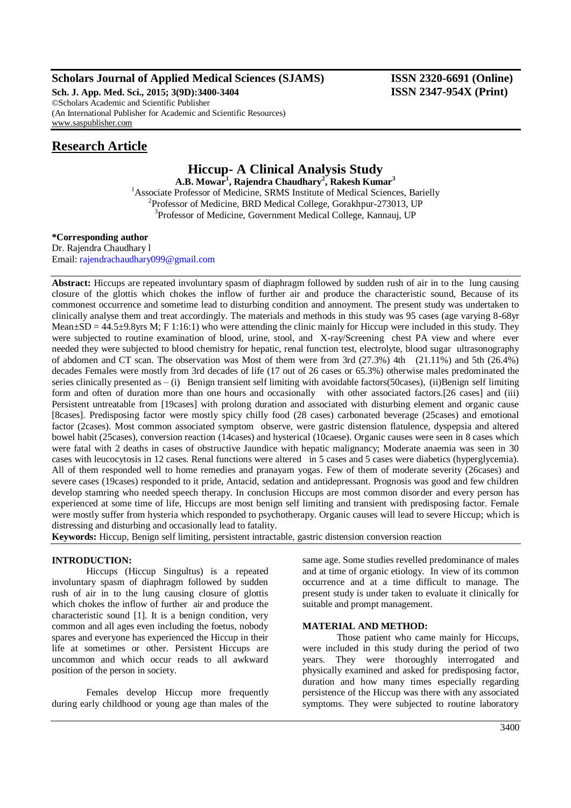## **Scholars Journal of Applied Medical Sciences (SJAMS) ISSN 2320-6691 (Online)**

**Sch. J. App. Med. Sci., 2015; 3(9D):3400-3404 ISSN 2347-954X (Print)** ©Scholars Academic and Scientific Publisher (An International Publisher for Academic and Scientific Resources) [www.saspublisher.com](http://www.saspublisher.com/)

## **Research Article**

# **Hiccup- A Clinical Analysis Study**

**A.B. Mowar<sup>1</sup> , Rajendra Chaudhary<sup>2</sup> , Rakesh Kumar<sup>3</sup>** <sup>1</sup> Associate Professor of Medicine, SRMS Institute of Medical Sciences, Barielly <sup>2</sup>Professor of Medicine, BRD Medical College, Gorakhpur-273013, UP <sup>3</sup>Professor of Medicine, Government Medical College, Kannauj, UP

## **\*Corresponding author**

Dr. Rajendra Chaudhary l Email: [rajendrachaudhary099@gmail.com](mailto:rajendrachaudhary099@gmail.com)

**Abstract:** Hiccups are repeated involuntary spasm of diaphragm followed by sudden rush of air in to the lung causing closure of the glottis which chokes the inflow of further air and produce the characteristic sound, Because of its commonest occurrence and sometime lead to disturbing condition and annoyment. The present study was undertaken to clinically analyse them and treat accordingly. The materials and methods in this study was 95 cases (age varying 8-68yr Mean $\pm$ SD = 44.5 $\pm$ 9.8yrs M; F 1:16:1) who were attending the clinic mainly for Hiccup were included in this study. They were subjected to routine examination of blood, urine, stool, and X-ray/Screening chest PA view and where ever needed they were subjected to blood chemistry for hepatic, renal function test, electrolyte, blood sugar ultrasonography of abdomen and CT scan. The observation was Most of them were from 3rd (27.3%) 4th (21.11%) and 5th (26.4%) decades Females were mostly from 3rd decades of life (17 out of 26 cases or 65.3%) otherwise males predominated the series clinically presented as  $-$  (i) Benign transient self limiting with avoidable factors(50cases), (ii)Benign self limiting form and often of duration more than one hours and occasionally with other associated factors.[26 cases] and (iii) Persistent untreatable from [19cases] with prolong duration and associated with disturbing element and organic cause [8cases]. Predisposing factor were mostly spicy chilly food (28 cases) carbonated beverage (25cases) and emotional factor (2cases). Most common associated symptom observe, were gastric distension flatulence, dyspepsia and altered bowel habit (25cases), conversion reaction (14cases) and hysterical (10caese). Organic causes were seen in 8 cases which were fatal with 2 deaths in cases of obstructive Jaundice with hepatic malignancy; Moderate anaemia was seen in 30 cases with leucocytosis in 12 cases. Renal functions were altered in 5 cases and 5 cases were diabetics (hyperglycemia). All of them responded well to home remedies and pranayam yogas. Few of them of moderate severity (26cases) and severe cases (19cases) responded to it pride, Antacid, sedation and antidepressant. Prognosis was good and few children develop stamring who needed speech therapy. In conclusion Hiccups are most common disorder and every person has experienced at some time of life, Hiccups are most benign self limiting and transient with predisposing factor. Female were mostly suffer from hysteria which responded to psychotherapy. Organic causes will lead to severe Hiccup; which is distressing and disturbing and occasionally lead to fatality.

**Keywords:** Hiccup, Benign self limiting, persistent intractable, gastric distension conversion reaction

## **INTRODUCTION:**

Hiccups (Hiccup Singultus) is a repeated involuntary spasm of diaphragm followed by sudden rush of air in to the lung causing closure of glottis which chokes the inflow of further air and produce the characteristic sound [1]. It is a benign condition, very common and all ages even including the foetus, nobody spares and everyone has experienced the Hiccup in their life at sometimes or other. Persistent Hiccups are uncommon and which occur reads to all awkward position of the person in society.

Females develop Hiccup more frequently during early childhood or young age than males of the

same age. Some studies revelled predominance of males and at time of organic etiology. In view of its common occurrence and at a time difficult to manage. The present study is under taken to evaluate it clinically for suitable and prompt management.

#### **MATERIAL AND METHOD:**

Those patient who came mainly for Hiccups, were included in this study during the period of two years. They were thoroughly interrogated and physically examined and asked for predisposing factor, duration and how many times especially regarding persistence of the Hiccup was there with any associated symptoms. They were subjected to routine laboratory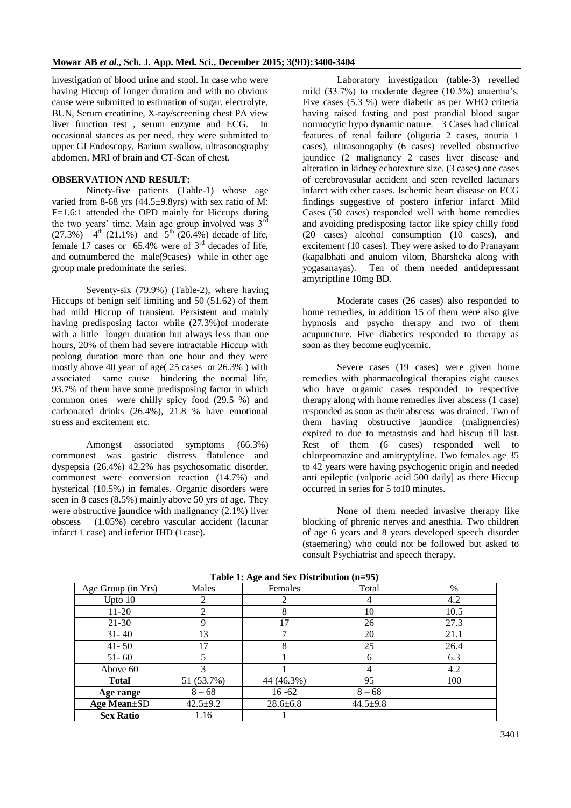investigation of blood urine and stool. In case who were having Hiccup of longer duration and with no obvious cause were submitted to estimation of sugar, electrolyte, BUN, Serum creatinine, X-ray/screening chest PA view liver function test , serum enzyme and ECG. In occasional stances as per need, they were submitted to upper GI Endoscopy, Barium swallow, ultrasonography abdomen, MRI of brain and CT-Scan of chest.

#### **OBSERVATION AND RESULT:**

Ninety-five patients (Table-1) whose age varied from 8-68 yrs  $(44.5\pm9.8)$  with sex ratio of M: F=1.6:1 attended the OPD mainly for Hiccups during the two years' time. Main age group involved was  $3<sup>rd</sup>$  $(27.3\%)$  4<sup>th</sup> (21.1%) and  $5^{th}$  (26.4%) decade of life, female 17 cases or  $65.4\%$  were of  $3<sup>rd</sup>$  decades of life, and outnumbered the male(9cases) while in other age group male predominate the series.

Seventy-six (79.9%) (Table-2), where having Hiccups of benign self limiting and 50 (51.62) of them had mild Hiccup of transient. Persistent and mainly having predisposing factor while (27.3%)of moderate with a little longer duration but always less than one hours, 20% of them had severe intractable Hiccup with prolong duration more than one hour and they were mostly above 40 year of age( 25 cases or 26.3% ) with associated same cause hindering the normal life, 93.7% of them have some predisposing factor in which common ones were chilly spicy food (29.5 %) and carbonated drinks (26.4%), 21.8 % have emotional stress and excitement etc.

Amongst associated symptoms (66.3%) commonest was gastric distress flatulence and dyspepsia (26.4%) 42.2% has psychosomatic disorder, commonest were conversion reaction (14.7%) and hysterical (10.5%) in females. Organic disorders were seen in 8 cases (8.5%) mainly above 50 yrs of age. They were obstructive jaundice with malignancy (2.1%) liver obscess (1.05%) cerebro vascular accident (lacunar infarct 1 case) and inferior IHD (1case).

Laboratory investigation (table-3) revelled mild (33.7%) to moderate degree (10.5%) anaemia's. Five cases (5.3 %) were diabetic as per WHO criteria having raised fasting and post prandial blood sugar normocytic hypo dynamic nature. 3 Cases had clinical features of renal failure (oliguria 2 cases, anuria 1 cases), ultrasonogaphy (6 cases) revelled obstructive jaundice (2 malignancy 2 cases liver disease and alteration in kidney echotexture size. (3 cases) one cases of cerebrovasular accident and seen revelled lacunars infarct with other cases. Ischemic heart disease on ECG findings suggestive of postero inferior infarct Mild Cases (50 cases) responded well with home remedies and avoiding predisposing factor like spicy chilly food (20 cases) alcohol consumption (10 cases), and excitement (10 cases). They were asked to do Pranayam (kapalbhati and anulom vilom, Bharsheka along with yogasanayas). Ten of them needed antidepressant amytriptline 10mg BD.

Moderate cases (26 cases) also responded to home remedies, in addition 15 of them were also give hypnosis and psycho therapy and two of them acupuncture. Five diabetics responded to therapy as soon as they become euglycemic.

Severe cases (19 cases) were given home remedies with pharmacological therapies eight causes who have orgamic cases responded to respective therapy along with home remedies liver abscess (1 case) responded as soon as their abscess was drained. Two of them having obstructive jaundice (malignencies) expired to due to metastasis and had hiscup till last. Rest of them (6 cases) responded well to chlorpromazine and amitryptyline. Two females age 35 to 42 years were having psychogenic origin and needed anti epileptic (valporic acid 500 daily] as there Hiccup occurred in series for 5 to10 minutes.

None of them needed invasive therapy like blocking of phrenic nerves and anesthia. Two children of age 6 years and 8 years developed speech disorder (staemering) who could not be followed but asked to consult Psychiatrist and speech therapy.

| Age Group (in Yrs)  | Males          | $\sim$<br>Females | Total          | %    |
|---------------------|----------------|-------------------|----------------|------|
| Upto $10$           | 2              |                   | 4              | 4.2  |
| $11-20$             | 2              | 8                 | 10             | 10.5 |
| $21-30$             | 9              | 17                | 26             | 27.3 |
| $31 - 40$           | 13             |                   | 20             | 21.1 |
| $41 - 50$           | 17             | 8                 | 25             | 26.4 |
| $51 - 60$           | 5              |                   | 6              | 6.3  |
| Above 60            | 3              |                   | 4              | 4.2  |
| <b>Total</b>        | 51 (53.7%)     | 44 (46.3%)        | 95             | 100  |
| Age range           | $8 - 68$       | $16 - 62$         | $8 - 68$       |      |
| <b>Age Mean</b> ±SD | $42.5 \pm 9.2$ | $28.6 \pm 6.8$    | $44.5 \pm 9.8$ |      |
| <b>Sex Ratio</b>    | 1.16           |                   |                |      |

**Table 1: Age and Sex Distribution (n=95)**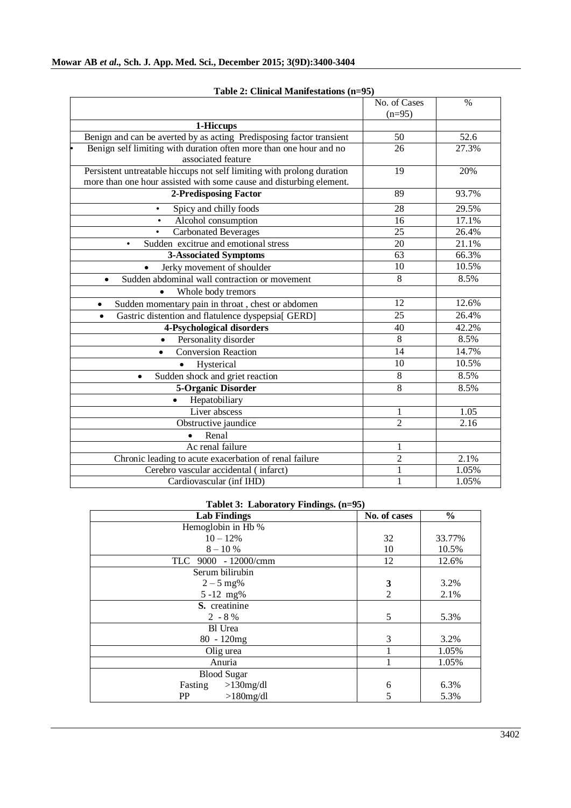|                                                                        | No. of Cases<br>$(n=95)$ | $\%$  |
|------------------------------------------------------------------------|--------------------------|-------|
| 1-Hiccups                                                              |                          |       |
| Benign and can be averted by as acting Predisposing factor transient   | 50                       | 52.6  |
| Benign self limiting with duration often more than one hour and no     | 26                       | 27.3% |
| associated feature                                                     |                          |       |
| Persistent untreatable hiccups not self limiting with prolong duration | 19                       | 20%   |
| more than one hour assisted with some cause and disturbing element.    |                          |       |
| 2-Predisposing Factor                                                  | 89                       | 93.7% |
| Spicy and chilly foods<br>$\bullet$                                    | 28                       | 29.5% |
| Alcohol consumption                                                    | 16                       | 17.1% |
| <b>Carbonated Beverages</b>                                            | 25                       | 26.4% |
| Sudden excitrue and emotional stress<br>$\bullet$                      | 20                       | 21.1% |
| <b>3-Associated Symptoms</b>                                           | 63                       | 66.3% |
| Jerky movement of shoulder<br>$\bullet$                                | 10                       | 10.5% |
| Sudden abdominal wall contraction or movement                          | $\overline{8}$           | 8.5%  |
| Whole body tremors<br>$\bullet$                                        |                          |       |
| Sudden momentary pain in throat, chest or abdomen<br>$\bullet$         | 12                       | 12.6% |
| Gastric distention and flatulence dyspepsia[ GERD]                     | 25                       | 26.4% |
| 4-Psychological disorders                                              | 40                       | 42.2% |
| Personality disorder<br>$\bullet$                                      | 8                        | 8.5%  |
| <b>Conversion Reaction</b>                                             | 14                       | 14.7% |
| Hysterical<br>$\bullet$                                                | 10                       | 10.5% |
| Sudden shock and griet reaction<br>٠                                   | 8                        | 8.5%  |
| 5-Organic Disorder                                                     | $\overline{8}$           | 8.5%  |
| Hepatobiliary<br>$\bullet$                                             |                          |       |
| Liver abscess                                                          | 1                        | 1.05  |
| Obstructive jaundice                                                   | $\overline{2}$           | 2.16  |
| Renal<br>$\bullet$                                                     |                          |       |
| Ac renal failure                                                       | 1                        |       |
| Chronic leading to acute exacerbation of renal failure                 | $\overline{2}$           | 2.1%  |
| Cerebro vascular accidental (infarct)                                  | $\mathbf{1}$             | 1.05% |
| Cardiovascular (inf IHD)                                               | $\mathbf{1}$             | 1.05% |

**Table 2: Clinical Manifestations (n=95)**

### **Tablet 3: Laboratory Findings. (n=95)**

| <b>Lab Findings</b>     | No. of cases   | $\frac{6}{6}$ |
|-------------------------|----------------|---------------|
| Hemoglobin in Hb %      |                |               |
| $10 - 12%$              | 32             | 33.77%        |
| $8 - 10%$               | 10             | 10.5%         |
| TLC 9000 - 12000/cmm    | 12             | 12.6%         |
| Serum bilirubin         |                |               |
| $2 - 5$ mg%             | 3              | 3.2%          |
| $5 - 12$ mg%            | $\overline{2}$ | 2.1%          |
| S. creatinine           |                |               |
| $2 - 8 \%$              | 5              | 5.3%          |
| Bl Urea                 |                |               |
| $80 - 120mg$            | 3              | 3.2%          |
| Olig urea               |                | 1.05%         |
| Anuria                  |                | 1.05%         |
| <b>Blood Sugar</b>      |                |               |
| Fasting<br>$>130$ mg/dl | 6              | 6.3%          |
| PP<br>$>180$ mg/dl      | 5              | 5.3%          |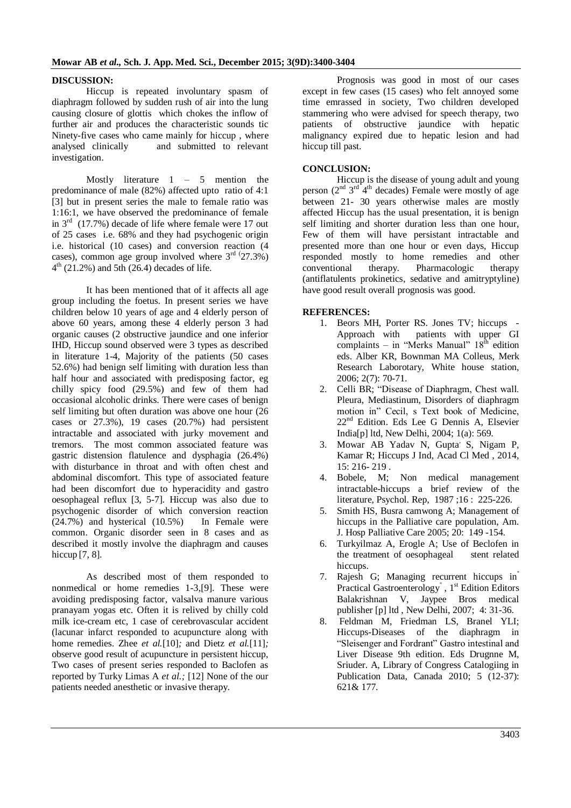#### **DISCUSSION:**

Hiccup is repeated involuntary spasm of diaphragm followed by sudden rush of air into the lung causing closure of glottis which chokes the inflow of further air and produces the characteristic sounds tic Ninety-five cases who came mainly for hiccup , where analysed clinically and submitted to relevant investigation.

Mostly literature  $1 - 5$  mention the predominance of male (82%) affected upto ratio of 4:1 [3] but in present series the male to female ratio was 1:16:1, we have observed the predominance of female in  $3<sup>rd</sup>$  (17.7%) decade of life where female were 17 out of 25 cases i.e. 68% and they had psychogenic origin i.e. historical (10 cases) and conversion reaction (4 cases), common age group involved where  $3<sup>rd</sup>$  (27.3%) 4 th (21.2%) and 5th (26.4) decades of life.

It has been mentioned that of it affects all age group including the foetus. In present series we have children below 10 years of age and 4 elderly person of above 60 years, among these 4 elderly person 3 had organic causes (2 obstructive jaundice and one inferior IHD, Hiccup sound observed were 3 types as described in literature 1-4, Majority of the patients (50 cases 52.6%) had benign self limiting with duration less than half hour and associated with predisposing factor, eg chilly spicy food (29.5%) and few of them had occasional alcoholic drinks. There were cases of benign self limiting but often duration was above one hour (26 cases or 27.3%), 19 cases (20.7%) had persistent intractable and associated with jurky movement and tremors. The most common associated feature was gastric distension flatulence and dysphagia (26.4%) with disturbance in throat and with often chest and abdominal discomfort. This type of associated feature had been discomfort due to hyperacidity and gastro oesophageal reflux [3, 5-7]. Hiccup was also due to psychogenic disorder of which conversion reaction  $(24.7\%)$  and hysterical  $(10.5\%)$  In Female were common. Organic disorder seen in 8 cases and as described it mostly involve the diaphragm and causes hiccup [7, 8].

As described most of them responded to nonmedical or home remedies 1-3,[9]. These were avoiding predisposing factor, valsalva manure various pranayam yogas etc. Often it is relived by chilly cold milk ice-cream etc, 1 case of cerebrovascular accident (lacunar infarct responded to acupuncture along with home remedies. Zhee *et al.*[10]*;* and Dietz *et al.*[11]*;* observe good result of acupuncture in persistent hiccup, Two cases of present series responded to Baclofen as reported by Turky Limas A *et al.;* [12] None of the our patients needed anesthetic or invasive therapy.

Prognosis was good in most of our cases except in few cases (15 cases) who felt annoyed some time emrassed in society, Two children developed stammering who were advised for speech therapy, two patients of obstructive jaundice with hepatic malignancy expired due to hepatic lesion and had hiccup till past.

#### **CONCLUSION:**

Hiccup is the disease of young adult and young person  $(2^{nd} 3^{rd} 4^{th}$  decades) Female were mostly of age between 21- 30 years otherwise males are mostly affected Hiccup has the usual presentation, it is benign self limiting and shorter duration less than one hour, Few of them will have persistant intractable and presented more than one hour or even days, Hiccup responded mostly to home remedies and other conventional therapy. Pharmacologic therapy conventional therapy. (antiflatulents prokinetics, sedative and amitryptyline) have good result overall prognosis was good.

#### **REFERENCES:**

- 1. Beors MH, Porter RS. Jones TV; hiccups Approach with patients with upper GI complaints – in "Merks Manual"  $18<sup>th</sup>$  edition eds. Alber KR, Bownman MA Colleus, Merk Research Laborotary, White house station, 2006; 2(7): 70-71.
- 2. Celli BR; "Disease of Diaphragm, Chest wall. Pleura, Mediastinum, Disorders of diaphragm motion in" Cecil, s Text book of Medicine, 22nd Edition. Eds Lee G Dennis A, Elsevier India[p] ltd, New Delhi, 2004; 1(a): 569.
- 3. Mowar AB Yadav N, Gupta' S, Nigam P, Kamar R; Hiccups J Ind, Acad Cl Med , 2014, 15: 216- 219 .
- 4. Bobele, M; Non medical management intractable-hiccups a brief review of the literature, Psychol. Rep, 1987 ;16 : 225-226.
- 5. Smith HS, Busra camwong A; Management of hiccups in the Palliative care population, Am. J. Hosp Palliative Care 2005; 20: 149 -154.
- 6. Turkyilmaz A, Erogle A; Use of Beclofen in the treatment of oesophageal stent related hiccups.
- 7. Rajesh G; Managing recurrent hiccups in'' Practical Gastroenterology<sup>"</sup>, 1<sup>st</sup> Edition Editors Balakrishnan V, Jaypee Bros medical publisher [p] ltd , New Delhi, 2007; 4: 31-36.
- 8. Feldman M, Friedman LS, Branel YLI; Hiccups-Diseases of the diaphragm in "Sleisenger and Fordrant" Gastro intestinal and Liver Disease 9th edition. Eds Drugnne M, Sriuder. A, Library of Congress Catalogiing in Publication Data, Canada 2010; 5 (12-37): 621& 177.